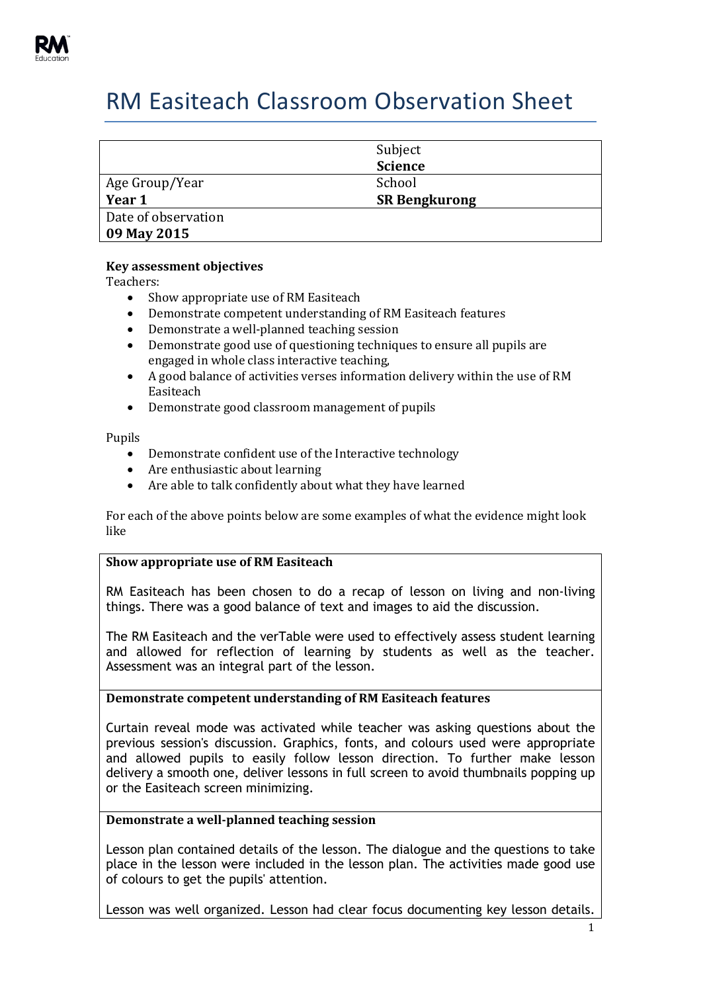

# RM Easiteach Classroom Observation Sheet

|                                    | Subject<br><b>Science</b> |
|------------------------------------|---------------------------|
| Age Group/Year                     | School                    |
| Year 1                             | <b>SR Bengkurong</b>      |
| Date of observation<br>09 May 2015 |                           |

## **Key assessment objectives**

Teachers:

- Show appropriate use of RM Easiteach
- Demonstrate competent understanding of RM Easiteach features
- Demonstrate a well-planned teaching session
- Demonstrate good use of questioning techniques to ensure all pupils are engaged in whole class interactive teaching,
- A good balance of activities verses information delivery within the use of RM Easiteach
- Demonstrate good classroom management of pupils

Pupils

- Demonstrate confident use of the Interactive technology
- Are enthusiastic about learning
- Are able to talk confidently about what they have learned

For each of the above points below are some examples of what the evidence might look like

### **Show appropriate use of RM Easiteach**

RM Easiteach has been chosen to do a recap of lesson on living and non-living things. There was a good balance of text and images to aid the discussion.

The RM Easiteach and the verTable were used to effectively assess student learning and allowed for reflection of learning by students as well as the teacher. Assessment was an integral part of the lesson.

#### **Demonstrate competent understanding of RM Easiteach features**

Curtain reveal mode was activated while teacher was asking questions about the previous session's discussion. Graphics, fonts, and colours used were appropriate and allowed pupils to easily follow lesson direction. To further make lesson delivery a smooth one, deliver lessons in full screen to avoid thumbnails popping up or the Easiteach screen minimizing.

## **Demonstrate a well-planned teaching session**

Lesson plan contained details of the lesson. The dialogue and the questions to take place in the lesson were included in the lesson plan. The activities made good use of colours to get the pupils' attention.

Lesson was well organized. Lesson had clear focus documenting key lesson details.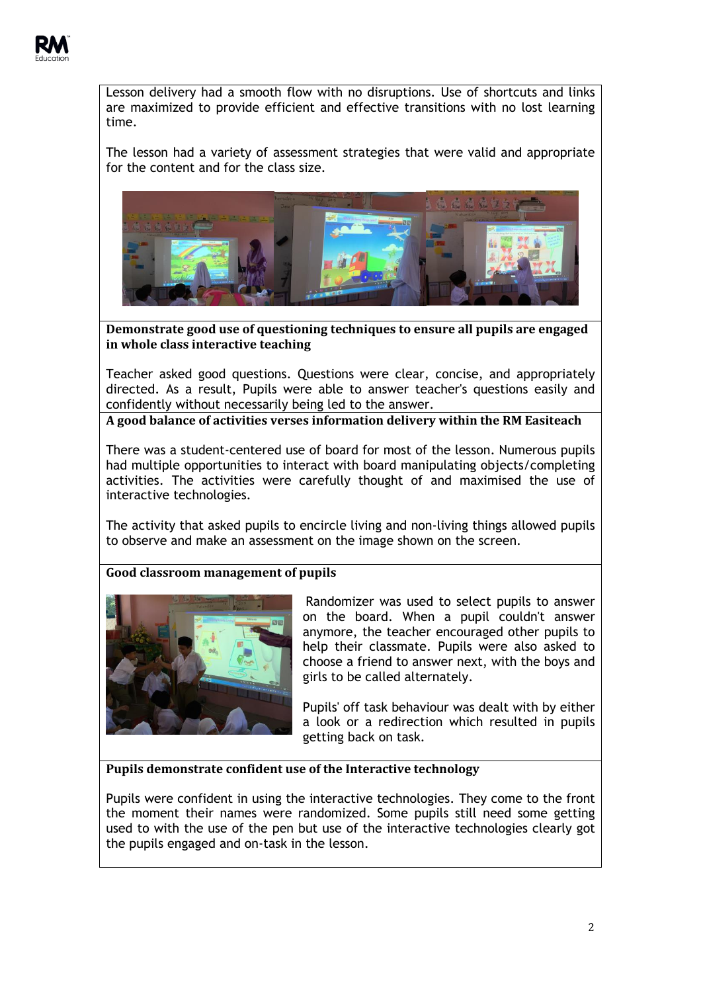

Lesson delivery had a smooth flow with no disruptions. Use of shortcuts and links are maximized to provide efficient and effective transitions with no lost learning time.

The lesson had a variety of assessment strategies that were valid and appropriate for the content and for the class size.



**Demonstrate good use of questioning techniques to ensure all pupils are engaged in whole class interactive teaching**

Teacher asked good questions. Questions were clear, concise, and appropriately directed. As a result, Pupils were able to answer teacher's questions easily and confidently without necessarily being led to the answer.

**A good balance of activities verses information delivery within the RM Easiteach** 

There was a student-centered use of board for most of the lesson. Numerous pupils had multiple opportunities to interact with board manipulating objects/completing activities. The activities were carefully thought of and maximised the use of interactive technologies.

The activity that asked pupils to encircle living and non-living things allowed pupils to observe and make an assessment on the image shown on the screen.

# **Good classroom management of pupils**



Randomizer was used to select pupils to answer on the board. When a pupil couldn't answer anymore, the teacher encouraged other pupils to help their classmate. Pupils were also asked to choose a friend to answer next, with the boys and girls to be called alternately.

Pupils' off task behaviour was dealt with by either a look or a redirection which resulted in pupils getting back on task.

## **Pupils demonstrate confident use of the Interactive technology**

Pupils were confident in using the interactive technologies. They come to the front the moment their names were randomized. Some pupils still need some getting used to with the use of the pen but use of the interactive technologies clearly got the pupils engaged and on-task in the lesson.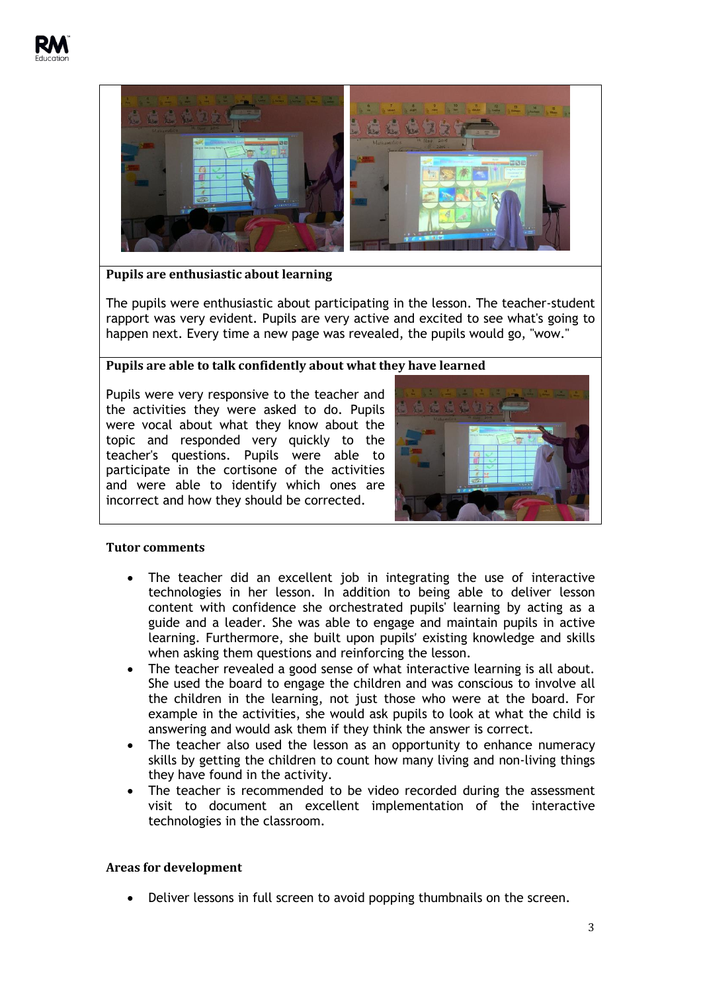

# **Pupils are enthusiastic about learning**

The pupils were enthusiastic about participating in the lesson. The teacher-student rapport was very evident. Pupils are very active and excited to see what's going to happen next. Every time a new page was revealed, the pupils would go, "wow."

## **Pupils are able to talk confidently about what they have learned**

Pupils were very responsive to the teacher and the activities they were asked to do. Pupils were vocal about what they know about the topic and responded very quickly to the teacher's questions. Pupils were able to participate in the cortisone of the activities and were able to identify which ones are incorrect and how they should be corrected.



#### **Tutor comments**

- The teacher did an excellent job in integrating the use of interactive technologies in her lesson. In addition to being able to deliver lesson content with confidence she orchestrated pupils' learning by acting as a guide and a leader. She was able to engage and maintain pupils in active learning. Furthermore, she built upon pupils' existing knowledge and skills when asking them questions and reinforcing the lesson.
- The teacher revealed a good sense of what interactive learning is all about. She used the board to engage the children and was conscious to involve all the children in the learning, not just those who were at the board. For example in the activities, she would ask pupils to look at what the child is answering and would ask them if they think the answer is correct.
- The teacher also used the lesson as an opportunity to enhance numeracy skills by getting the children to count how many living and non-living things they have found in the activity.
- The teacher is recommended to be video recorded during the assessment visit to document an excellent implementation of the interactive technologies in the classroom.

#### **Areas for development**

Deliver lessons in full screen to avoid popping thumbnails on the screen.